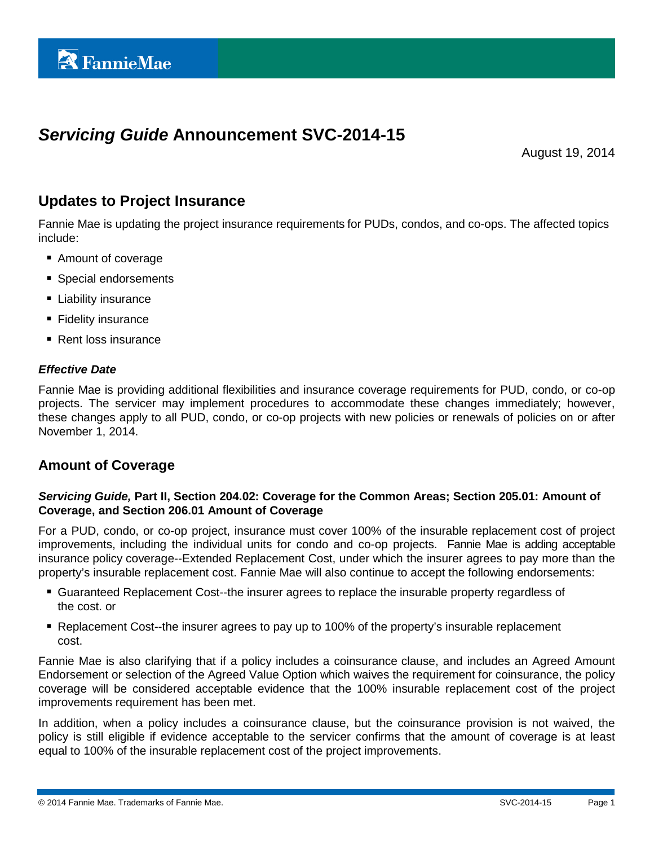# *Servicing Guide* **Announcement SVC-2014-15**

August 19, 2014

## **Updates to Project Insurance**

Fannie Mae is updating the project insurance requirements for PUDs, condos, and co-ops. The affected topics include:

- Amount of coverage
- **Special endorsements**
- **Liability insurance**
- **Fidelity insurance**
- Rent loss insurance

#### *Effective Date*

Fannie Mae is providing additional flexibilities and insurance coverage requirements for PUD, condo, or co-op projects. The servicer may implement procedures to accommodate these changes immediately; however, these changes apply to all PUD, condo, or co-op projects with new policies or renewals of policies on or after November 1, 2014.

## **Amount of Coverage**

#### *Servicing Guide,* **Part II, Section 204.02: Coverage for the Common Areas; Section 205.01: Amount of Coverage, and Section 206.01 Amount of Coverage**

For a PUD, condo, or co-op project, insurance must cover 100% of the insurable replacement cost of project improvements, including the individual units for condo and co-op projects. Fannie Mae is adding acceptable insurance policy coverage--Extended Replacement Cost, under which the insurer agrees to pay more than the property's insurable replacement cost. Fannie Mae will also continue to accept the following endorsements:

- Guaranteed Replacement Cost--the insurer agrees to replace the insurable property regardless of the cost. or
- Replacement Cost--the insurer agrees to pay up to 100% of the property's insurable replacement cost.

Fannie Mae is also clarifying that if a policy includes a coinsurance clause, and includes an Agreed Amount Endorsement or selection of the Agreed Value Option which waives the requirement for coinsurance, the policy coverage will be considered acceptable evidence that the 100% insurable replacement cost of the project improvements requirement has been met.

In addition, when a policy includes a coinsurance clause, but the coinsurance provision is not waived, the policy is still eligible if evidence acceptable to the servicer confirms that the amount of coverage is at least equal to 100% of the insurable replacement cost of the project improvements.